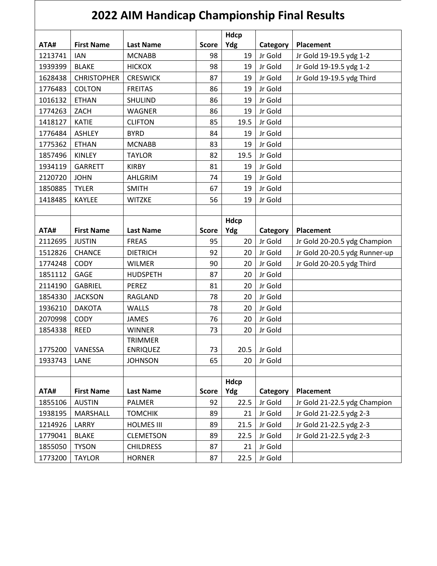|         | <b>2022 AIM Handicap Championship Final Results</b> |                                   |              |             |          |                               |  |  |  |
|---------|-----------------------------------------------------|-----------------------------------|--------------|-------------|----------|-------------------------------|--|--|--|
| ATA#    | <b>First Name</b>                                   | <b>Last Name</b>                  | <b>Score</b> | Hdcp<br>Ydg | Category | <b>Placement</b>              |  |  |  |
| 1213741 | <b>IAN</b>                                          | <b>MCNABB</b>                     | 98           | 19          | Jr Gold  | Jr Gold 19-19.5 ydg 1-2       |  |  |  |
| 1939399 | <b>BLAKE</b>                                        | <b>HICKOX</b>                     | 98           | 19          | Jr Gold  | Jr Gold 19-19.5 ydg 1-2       |  |  |  |
| 1628438 | <b>CHRISTOPHER</b>                                  | <b>CRESWICK</b>                   | 87           | 19          | Jr Gold  | Jr Gold 19-19.5 ydg Third     |  |  |  |
| 1776483 | <b>COLTON</b>                                       | <b>FREITAS</b>                    | 86           | 19          | Jr Gold  |                               |  |  |  |
| 1016132 | <b>ETHAN</b>                                        | <b>SHULIND</b>                    | 86           | 19          | Jr Gold  |                               |  |  |  |
| 1774263 | ZACH                                                | <b>WAGNER</b>                     | 86           | 19          | Jr Gold  |                               |  |  |  |
| 1418127 | <b>KATIE</b>                                        | <b>CLIFTON</b>                    | 85           | 19.5        | Jr Gold  |                               |  |  |  |
| 1776484 | <b>ASHLEY</b>                                       | <b>BYRD</b>                       | 84           | 19          | Jr Gold  |                               |  |  |  |
| 1775362 | <b>ETHAN</b>                                        | <b>MCNABB</b>                     | 83           | 19          | Jr Gold  |                               |  |  |  |
| 1857496 | <b>KINLEY</b>                                       | <b>TAYLOR</b>                     | 82           | 19.5        | Jr Gold  |                               |  |  |  |
| 1934119 | <b>GARRETT</b>                                      | <b>KIRBY</b>                      | 81           | 19          | Jr Gold  |                               |  |  |  |
| 2120720 | <b>JOHN</b>                                         | AHLGRIM                           | 74           | 19          | Jr Gold  |                               |  |  |  |
| 1850885 | <b>TYLER</b>                                        | <b>SMITH</b>                      | 67           | 19          | Jr Gold  |                               |  |  |  |
| 1418485 | <b>KAYLEE</b>                                       | <b>WITZKE</b>                     | 56           | 19          | Jr Gold  |                               |  |  |  |
|         |                                                     |                                   |              |             |          |                               |  |  |  |
|         |                                                     |                                   |              | Hdcp        |          |                               |  |  |  |
| ATA#    | <b>First Name</b>                                   | <b>Last Name</b>                  | <b>Score</b> | Ydg         | Category | <b>Placement</b>              |  |  |  |
| 2112695 | <b>JUSTIN</b>                                       | <b>FREAS</b>                      | 95           | 20          | Jr Gold  | Jr Gold 20-20.5 ydg Champion  |  |  |  |
| 1512826 | <b>CHANCE</b>                                       | <b>DIETRICH</b>                   | 92           | 20          | Jr Gold  | Jr Gold 20-20.5 ydg Runner-up |  |  |  |
| 1774248 | <b>CODY</b>                                         | <b>WILMER</b>                     | 90           | 20          | Jr Gold  | Jr Gold 20-20.5 ydg Third     |  |  |  |
| 1851112 | GAGE                                                | <b>HUDSPETH</b>                   | 87           | 20          | Jr Gold  |                               |  |  |  |
| 2114190 | <b>GABRIEL</b>                                      | <b>PEREZ</b>                      | 81           | 20          | Jr Gold  |                               |  |  |  |
| 1854330 | <b>JACKSON</b>                                      | RAGLAND                           | 78           | 20          | Jr Gold  |                               |  |  |  |
| 1936210 | <b>DAKOTA</b>                                       | <b>WALLS</b>                      | 78           | 20          | Jr Gold  |                               |  |  |  |
| 2070998 | <b>CODY</b>                                         | <b>JAMES</b>                      | 76           | 20          | Jr Gold  |                               |  |  |  |
| 1854338 | <b>REED</b>                                         | <b>WINNER</b>                     | 73           | 20          | Jr Gold  |                               |  |  |  |
| 1775200 | VANESSA                                             | <b>TRIMMER</b><br><b>ENRIQUEZ</b> | 73           | 20.5        | Jr Gold  |                               |  |  |  |
| 1933743 | LANE                                                | <b>JOHNSON</b>                    | 65           | 20          | Jr Gold  |                               |  |  |  |
|         |                                                     |                                   |              |             |          |                               |  |  |  |
|         |                                                     |                                   |              | Hdcp        |          |                               |  |  |  |
| ATA#    | <b>First Name</b>                                   | <b>Last Name</b>                  | <b>Score</b> | Ydg         | Category | <b>Placement</b>              |  |  |  |
| 1855106 | <b>AUSTIN</b>                                       | <b>PALMER</b>                     | 92           | 22.5        | Jr Gold  | Jr Gold 21-22.5 ydg Champion  |  |  |  |
| 1938195 | <b>MARSHALL</b>                                     | <b>TOMCHIK</b>                    | 89           | 21          | Jr Gold  | Jr Gold 21-22.5 ydg 2-3       |  |  |  |
| 1214926 | LARRY                                               | <b>HOLMES III</b>                 | 89           | 21.5        | Jr Gold  | Jr Gold 21-22.5 ydg 2-3       |  |  |  |
| 1779041 | <b>BLAKE</b>                                        | <b>CLEMETSON</b>                  | 89           | 22.5        | Jr Gold  | Jr Gold 21-22.5 ydg 2-3       |  |  |  |
| 1855050 | <b>TYSON</b>                                        | <b>CHILDRESS</b>                  | 87           | 21          | Jr Gold  |                               |  |  |  |
| 1773200 | <b>TAYLOR</b>                                       | <b>HORNER</b>                     | 87           | 22.5        | Jr Gold  |                               |  |  |  |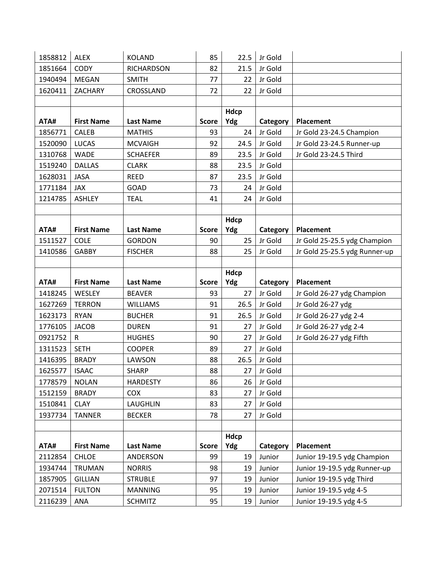| 1858812 | <b>ALEX</b>                 | <b>KOLAND</b>     | 85                 | 22.5        | Jr Gold             |                               |
|---------|-----------------------------|-------------------|--------------------|-------------|---------------------|-------------------------------|
| 1851664 | <b>CODY</b>                 | <b>RICHARDSON</b> | 82                 | 21.5        | Jr Gold             |                               |
| 1940494 | <b>MEGAN</b>                | <b>SMITH</b>      | 77                 | 22          | Jr Gold             |                               |
| 1620411 | ZACHARY                     | CROSSLAND         | 72                 | 22          | Jr Gold             |                               |
|         |                             |                   |                    |             |                     |                               |
|         |                             |                   |                    | <b>Hdcp</b> |                     |                               |
| ATA#    | <b>First Name</b>           | <b>Last Name</b>  | <b>Score</b>       | Ydg         | <b>Category</b>     | Placement                     |
| 1856771 | CALEB                       | <b>MATHIS</b>     | 93                 | 24          | Jr Gold             | Jr Gold 23-24.5 Champion      |
| 1520090 | <b>LUCAS</b>                | <b>MCVAIGH</b>    | 92                 | 24.5        | Jr Gold             | Jr Gold 23-24.5 Runner-up     |
| 1310768 | <b>WADE</b>                 | <b>SCHAEFER</b>   | 89                 | 23.5        | Jr Gold             | Jr Gold 23-24.5 Third         |
| 1519240 | <b>DALLAS</b>               | <b>CLARK</b>      | 88                 | 23.5        | Jr Gold             |                               |
| 1628031 | <b>JASA</b>                 | <b>REED</b>       | 87                 | 23.5        | Jr Gold             |                               |
| 1771184 | <b>JAX</b>                  | <b>GOAD</b>       | 73                 | 24          | Jr Gold             |                               |
| 1214785 | <b>ASHLEY</b>               | <b>TEAL</b>       | 41                 | 24          | Jr Gold             |                               |
|         |                             |                   |                    |             |                     |                               |
|         |                             |                   |                    | Hdcp        |                     |                               |
| ATA#    | <b>First Name</b>           | <b>Last Name</b>  | <b>Score</b>       | Ydg         | Category            | Placement                     |
| 1511527 | <b>COLE</b>                 | <b>GORDON</b>     | 90                 | 25          | Jr Gold             | Jr Gold 25-25.5 ydg Champion  |
| 1410586 | <b>GABBY</b>                | <b>FISCHER</b>    | 88                 | 25          | Jr Gold             | Jr Gold 25-25.5 ydg Runner-up |
|         |                             |                   |                    |             |                     |                               |
|         |                             |                   |                    | Hdcp        |                     |                               |
| ATA#    | <b>First Name</b><br>WESLEY | <b>Last Name</b>  | <b>Score</b><br>93 | Ydg<br>27   | Category<br>Jr Gold | Placement                     |
| 1418245 |                             | <b>BEAVER</b>     |                    |             |                     | Jr Gold 26-27 ydg Champion    |
| 1627269 | <b>TERRON</b>               | <b>WILLIAMS</b>   | 91                 | 26.5        | Jr Gold             | Jr Gold 26-27 ydg             |
| 1623173 | <b>RYAN</b>                 | <b>BUCHER</b>     | 91                 | 26.5        | Jr Gold             | Jr Gold 26-27 ydg 2-4         |
| 1776105 | <b>JACOB</b>                | <b>DUREN</b>      | 91                 | 27          | Jr Gold             | Jr Gold 26-27 ydg 2-4         |
| 0921752 | R                           | <b>HUGHES</b>     | 90                 | 27          | Jr Gold             | Jr Gold 26-27 ydg Fifth       |
| 1311523 | <b>SETH</b>                 | <b>COOPER</b>     | 89                 | 27          | Jr Gold             |                               |
| 1416395 | <b>BRADY</b>                | LAWSON            | 88                 | 26.5        | Jr Gold             |                               |
| 1625577 | <b>ISAAC</b>                | <b>SHARP</b>      | 88                 | 27          | Jr Gold             |                               |
| 1778579 | <b>NOLAN</b>                | <b>HARDESTY</b>   | 86                 | 26          | Jr Gold             |                               |
| 1512159 | <b>BRADY</b>                | COX               | 83                 | 27          | Jr Gold             |                               |
| 1510841 | <b>CLAY</b>                 | LAUGHLIN          | 83                 | 27          | Jr Gold             |                               |
| 1937734 | <b>TANNER</b>               | <b>BECKER</b>     | 78                 | 27          | Jr Gold             |                               |
|         |                             |                   |                    |             |                     |                               |
| ATA#    | <b>First Name</b>           | <b>Last Name</b>  | <b>Score</b>       | Hdcp<br>Ydg | Category            | <b>Placement</b>              |
| 2112854 | <b>CHLOE</b>                | ANDERSON          | 99                 | 19          | Junior              | Junior 19-19.5 ydg Champion   |
| 1934744 | TRUMAN                      | <b>NORRIS</b>     | 98                 | 19          | Junior              | Junior 19-19.5 ydg Runner-up  |
| 1857905 | <b>GILLIAN</b>              | <b>STRUBLE</b>    | 97                 | 19          | Junior              | Junior 19-19.5 ydg Third      |
| 2071514 | <b>FULTON</b>               | <b>MANNING</b>    | 95                 | 19          | Junior              | Junior 19-19.5 ydg 4-5        |
|         |                             |                   |                    |             |                     |                               |
| 2116239 | ANA                         | <b>SCHMITZ</b>    | 95                 | 19          | Junior              | Junior 19-19.5 ydg 4-5        |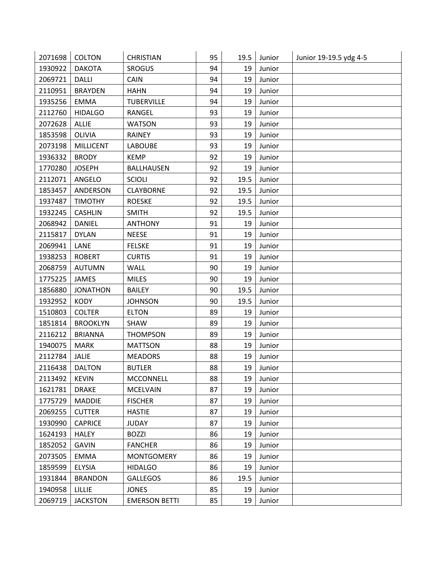| 2071698 | <b>COLTON</b>    | <b>CHRISTIAN</b>     | 95 | 19.5 | Junior | Junior 19-19.5 ydg 4-5 |
|---------|------------------|----------------------|----|------|--------|------------------------|
| 1930922 | <b>DAKOTA</b>    | <b>SROGUS</b>        | 94 | 19   | Junior |                        |
| 2069721 | <b>DALLI</b>     | CAIN                 | 94 | 19   | Junior |                        |
| 2110951 | <b>BRAYDEN</b>   | <b>HAHN</b>          | 94 | 19   | Junior |                        |
| 1935256 | <b>EMMA</b>      | <b>TUBERVILLE</b>    | 94 | 19   | Junior |                        |
| 2112760 | <b>HIDALGO</b>   | RANGEL               | 93 | 19   | Junior |                        |
| 2072628 | ALLIE            | <b>WATSON</b>        | 93 | 19   | Junior |                        |
| 1853598 | OLIVIA           | <b>RAINEY</b>        | 93 | 19   | Junior |                        |
| 2073198 | <b>MILLICENT</b> | <b>LABOUBE</b>       | 93 | 19   | Junior |                        |
| 1936332 | <b>BRODY</b>     | <b>KEMP</b>          | 92 | 19   | Junior |                        |
| 1770280 | <b>JOSEPH</b>    | <b>BALLHAUSEN</b>    | 92 | 19   | Junior |                        |
| 2112071 | ANGELO           | <b>SCIOLI</b>        | 92 | 19.5 | Junior |                        |
| 1853457 | ANDERSON         | <b>CLAYBORNE</b>     | 92 | 19.5 | Junior |                        |
| 1937487 | <b>TIMOTHY</b>   | <b>ROESKE</b>        | 92 | 19.5 | Junior |                        |
| 1932245 | <b>CASHLIN</b>   | <b>SMITH</b>         | 92 | 19.5 | Junior |                        |
| 2068942 | <b>DANIEL</b>    | <b>ANTHONY</b>       | 91 | 19   | Junior |                        |
| 2115817 | <b>DYLAN</b>     | <b>NEESE</b>         | 91 | 19   | Junior |                        |
| 2069941 | LANE             | <b>FELSKE</b>        | 91 | 19   | Junior |                        |
| 1938253 | <b>ROBERT</b>    | <b>CURTIS</b>        | 91 | 19   | Junior |                        |
| 2068759 | <b>AUTUMN</b>    | WALL                 | 90 | 19   | Junior |                        |
| 1775225 | JAMES            | <b>MILES</b>         | 90 | 19   | Junior |                        |
| 1856880 | <b>JONATHON</b>  | <b>BAILEY</b>        | 90 | 19.5 | Junior |                        |
| 1932952 | <b>KODY</b>      | <b>JOHNSON</b>       | 90 | 19.5 | Junior |                        |
| 1510803 | <b>COLTER</b>    | <b>ELTON</b>         | 89 | 19   | Junior |                        |
| 1851814 | <b>BROOKLYN</b>  | SHAW                 | 89 | 19   | Junior |                        |
| 2116212 | <b>BRIANNA</b>   | <b>THOMPSON</b>      | 89 | 19   | Junior |                        |
| 1940075 | <b>MARK</b>      | <b>MATTSON</b>       | 88 | 19   | Junior |                        |
| 2112784 | JALIE            | <b>MEADORS</b>       | 88 | 19   | Junior |                        |
| 2116438 | <b>DALTON</b>    | <b>BUTLER</b>        | 88 | 19   | Junior |                        |
| 2113492 | <b>KEVIN</b>     | <b>MCCONNELL</b>     | 88 | 19   | Junior |                        |
| 1621781 | <b>DRAKE</b>     | <b>MCELVAIN</b>      | 87 | 19   | Junior |                        |
| 1775729 | <b>MADDIE</b>    | <b>FISCHER</b>       | 87 | 19   | Junior |                        |
| 2069255 | <b>CUTTER</b>    | <b>HASTIE</b>        | 87 | 19   | Junior |                        |
| 1930990 | <b>CAPRICE</b>   | <b>JUDAY</b>         | 87 | 19   | Junior |                        |
| 1624193 | <b>HALEY</b>     | <b>BOZZI</b>         | 86 | 19   | Junior |                        |
| 1852052 | <b>GAVIN</b>     | <b>FANCHER</b>       | 86 | 19   | Junior |                        |
| 2073505 | <b>EMMA</b>      | <b>MONTGOMERY</b>    | 86 | 19   | Junior |                        |
| 1859599 | <b>ELYSIA</b>    | <b>HIDALGO</b>       | 86 | 19   | Junior |                        |
| 1931844 | <b>BRANDON</b>   | <b>GALLEGOS</b>      | 86 | 19.5 | Junior |                        |
| 1940958 | <b>LILLIE</b>    | <b>JONES</b>         | 85 | 19   | Junior |                        |
| 2069719 | <b>JACKSTON</b>  | <b>EMERSON BETTI</b> | 85 | 19   | Junior |                        |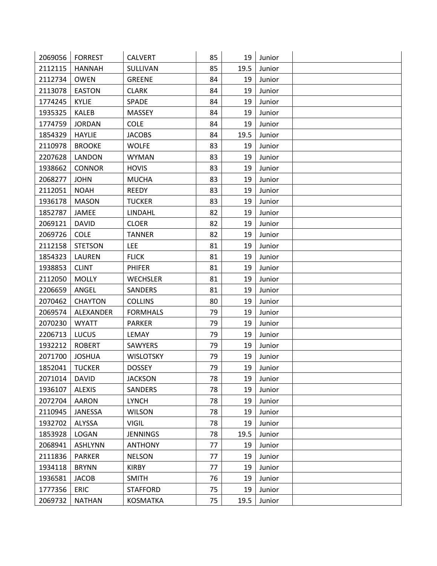| 2069056 | <b>FORREST</b> | <b>CALVERT</b>   | 85 | 19   | Junior |  |
|---------|----------------|------------------|----|------|--------|--|
| 2112115 | <b>HANNAH</b>  | SULLIVAN         | 85 | 19.5 | Junior |  |
| 2112734 | <b>OWEN</b>    | <b>GREENE</b>    | 84 | 19   | Junior |  |
| 2113078 | <b>EASTON</b>  | <b>CLARK</b>     | 84 | 19   | Junior |  |
| 1774245 | <b>KYLIE</b>   | SPADE            | 84 | 19   | Junior |  |
| 1935325 | <b>KALEB</b>   | <b>MASSEY</b>    | 84 | 19   | Junior |  |
| 1774759 | <b>JORDAN</b>  | <b>COLE</b>      | 84 | 19   | Junior |  |
| 1854329 | <b>HAYLIE</b>  | <b>JACOBS</b>    | 84 | 19.5 | Junior |  |
| 2110978 | <b>BROOKE</b>  | <b>WOLFE</b>     | 83 | 19   | Junior |  |
| 2207628 | LANDON         | <b>WYMAN</b>     | 83 | 19   | Junior |  |
| 1938662 | <b>CONNOR</b>  | <b>HOVIS</b>     | 83 | 19   | Junior |  |
| 2068277 | <b>JOHN</b>    | <b>MUCHA</b>     | 83 | 19   | Junior |  |
| 2112051 | <b>NOAH</b>    | <b>REEDY</b>     | 83 | 19   | Junior |  |
| 1936178 | <b>MASON</b>   | <b>TUCKER</b>    | 83 | 19   | Junior |  |
| 1852787 | JAMEE          | LINDAHL          | 82 | 19   | Junior |  |
| 2069121 | <b>DAVID</b>   | <b>CLOER</b>     | 82 | 19   | Junior |  |
| 2069726 | <b>COLE</b>    | <b>TANNER</b>    | 82 | 19   | Junior |  |
| 2112158 | <b>STETSON</b> | <b>LEE</b>       | 81 | 19   | Junior |  |
| 1854323 | LAUREN         | <b>FLICK</b>     | 81 | 19   | Junior |  |
| 1938853 | <b>CLINT</b>   | <b>PHIFER</b>    | 81 | 19   | Junior |  |
| 2112050 | <b>MOLLY</b>   | <b>WECHSLER</b>  | 81 | 19   | Junior |  |
| 2206659 | ANGEL          | <b>SANDERS</b>   | 81 | 19   | Junior |  |
| 2070462 | <b>CHAYTON</b> | <b>COLLINS</b>   | 80 | 19   | Junior |  |
| 2069574 | ALEXANDER      | <b>FORMHALS</b>  | 79 | 19   | Junior |  |
| 2070230 | <b>WYATT</b>   | <b>PARKER</b>    | 79 | 19   | Junior |  |
| 2206713 | LUCUS          | LEMAY            | 79 | 19   | Junior |  |
| 1932212 | <b>ROBERT</b>  | <b>SAWYERS</b>   | 79 | 19   | Junior |  |
| 2071700 | <b>JOSHUA</b>  | <b>WISLOTSKY</b> | 79 | 19   | Junior |  |
| 1852041 | <b>TUCKER</b>  | <b>DOSSEY</b>    | 79 | 19   | Junior |  |
| 2071014 | <b>DAVID</b>   | <b>JACKSON</b>   | 78 | 19   | Junior |  |
| 1936107 | <b>ALEXIS</b>  | <b>SANDERS</b>   | 78 | 19   | Junior |  |
| 2072704 | <b>AARON</b>   | <b>LYNCH</b>     | 78 | 19   | Junior |  |
| 2110945 | JANESSA        | <b>WILSON</b>    | 78 | 19   | Junior |  |
| 1932702 | ALYSSA         | <b>VIGIL</b>     | 78 | 19   | Junior |  |
| 1853928 | <b>LOGAN</b>   | <b>JENNINGS</b>  | 78 | 19.5 | Junior |  |
| 2068941 | <b>ASHLYNN</b> | <b>ANTHONY</b>   | 77 | 19   | Junior |  |
| 2111836 | <b>PARKER</b>  | <b>NELSON</b>    | 77 | 19   | Junior |  |
| 1934118 | <b>BRYNN</b>   | <b>KIRBY</b>     | 77 | 19   | Junior |  |
| 1936581 | <b>JACOB</b>   | <b>SMITH</b>     | 76 | 19   | Junior |  |
| 1777356 | <b>ERIC</b>    | <b>STAFFORD</b>  | 75 | 19   | Junior |  |
| 2069732 | <b>NATHAN</b>  | <b>KOSMATKA</b>  | 75 | 19.5 | Junior |  |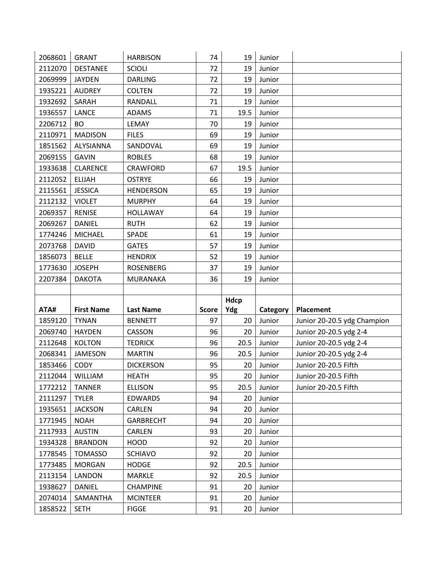| 2068601 | <b>GRANT</b>      | <b>HARBISON</b>  | 74           | 19   | Junior   |                             |
|---------|-------------------|------------------|--------------|------|----------|-----------------------------|
| 2112070 | <b>DESTANEE</b>   | <b>SCIOLI</b>    | 72           | 19   | Junior   |                             |
| 2069999 | <b>JAYDEN</b>     | <b>DARLING</b>   | 72           | 19   | Junior   |                             |
| 1935221 | <b>AUDREY</b>     | <b>COLTEN</b>    | 72           | 19   | Junior   |                             |
| 1932692 | SARAH             | RANDALL          | 71           | 19   | Junior   |                             |
| 1936557 | <b>LANCE</b>      | ADAMS            | 71           | 19.5 | Junior   |                             |
| 2206712 | <b>BO</b>         | LEMAY            | 70           | 19   | Junior   |                             |
| 2110971 | <b>MADISON</b>    | <b>FILES</b>     | 69           | 19   | Junior   |                             |
| 1851562 | ALYSIANNA         | SANDOVAL         | 69           | 19   | Junior   |                             |
| 2069155 | <b>GAVIN</b>      | <b>ROBLES</b>    | 68           | 19   | Junior   |                             |
| 1933638 | <b>CLARENCE</b>   | CRAWFORD         | 67           | 19.5 | Junior   |                             |
| 2112052 | <b>ELIJAH</b>     | <b>OSTRYE</b>    | 66           | 19   | Junior   |                             |
| 2115561 | <b>JESSICA</b>    | <b>HENDERSON</b> | 65           | 19   | Junior   |                             |
| 2112132 | <b>VIOLET</b>     | <b>MURPHY</b>    | 64           | 19   | Junior   |                             |
| 2069357 | <b>RENISE</b>     | <b>HOLLAWAY</b>  | 64           | 19   | Junior   |                             |
| 2069267 | <b>DANIEL</b>     | <b>RUTH</b>      | 62           | 19   | Junior   |                             |
| 1774246 | <b>MICHAEL</b>    | SPADE            | 61           | 19   | Junior   |                             |
| 2073768 | <b>DAVID</b>      | <b>GATES</b>     | 57           | 19   | Junior   |                             |
| 1856073 | <b>BELLE</b>      | <b>HENDRIX</b>   | 52           | 19   | Junior   |                             |
| 1773630 | <b>JOSEPH</b>     | <b>ROSENBERG</b> | 37           | 19   | Junior   |                             |
| 2207384 | <b>DAKOTA</b>     | <b>MURANAKA</b>  | 36           | 19   | Junior   |                             |
|         |                   |                  |              |      |          |                             |
|         |                   |                  |              |      |          |                             |
|         |                   |                  |              | Hdcp |          |                             |
| ATA#    | <b>First Name</b> | <b>Last Name</b> | <b>Score</b> | Ydg  | Category | <b>Placement</b>            |
| 1859120 | <b>TYNAN</b>      | <b>BENNETT</b>   | 97           | 20   | Junior   | Junior 20-20.5 ydg Champion |
| 2069740 | <b>HAYDEN</b>     | CASSON           | 96           | 20   | Junior   | Junior 20-20.5 ydg 2-4      |
| 2112648 | <b>KOLTON</b>     | <b>TEDRICK</b>   | 96           | 20.5 | Junior   | Junior 20-20.5 ydg 2-4      |
| 2068341 | <b>JAMESON</b>    | <b>MARTIN</b>    | 96           | 20.5 | Junior   | Junior 20-20.5 ydg 2-4      |
| 1853466 | CODY              | <b>DICKERSON</b> | 95           | 20   | Junior   | Junior 20-20.5 Fifth        |
| 2112044 | WILLIAM           | <b>HEATH</b>     | 95           | 20   | Junior   | Junior 20-20.5 Fifth        |
| 1772212 | <b>TANNER</b>     | <b>ELLISON</b>   | 95           | 20.5 | Junior   | Junior 20-20.5 Fifth        |
| 2111297 | <b>TYLER</b>      | <b>EDWARDS</b>   | 94           | 20   | Junior   |                             |
| 1935651 | <b>JACKSON</b>    | <b>CARLEN</b>    | 94           | 20   | Junior   |                             |
| 1771945 | <b>NOAH</b>       | <b>GARBRECHT</b> | 94           | 20   | Junior   |                             |
| 2117933 | <b>AUSTIN</b>     | <b>CARLEN</b>    | 93           | 20   | Junior   |                             |
| 1934328 | <b>BRANDON</b>    | <b>HOOD</b>      | 92           | 20   | Junior   |                             |
| 1778545 | <b>TOMASSO</b>    | <b>SCHIAVO</b>   | 92           | 20   | Junior   |                             |
| 1773485 | <b>MORGAN</b>     | <b>HODGE</b>     | 92           | 20.5 | Junior   |                             |
| 2113154 | LANDON            | <b>MARKLE</b>    | 92           | 20.5 | Junior   |                             |
| 1938627 | DANIEL            | <b>CHAMPINE</b>  | 91           | 20   | Junior   |                             |
| 2074014 | SAMANTHA          | <b>MCINTEER</b>  | 91           | 20   | Junior   |                             |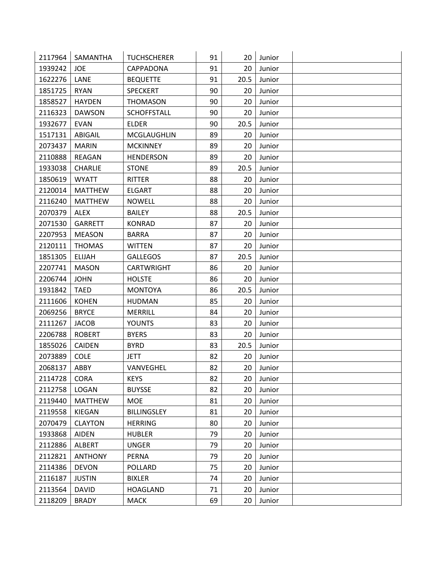| 2117964 | SAMANTHA       | <b>TUCHSCHERER</b> | 91 | 20   | Junior |  |
|---------|----------------|--------------------|----|------|--------|--|
| 1939242 | <b>JOE</b>     | CAPPADONA          | 91 | 20   | Junior |  |
| 1622276 | LANE           | <b>BEQUETTE</b>    | 91 | 20.5 | Junior |  |
| 1851725 | <b>RYAN</b>    | <b>SPECKERT</b>    | 90 | 20   | Junior |  |
| 1858527 | <b>HAYDEN</b>  | <b>THOMASON</b>    | 90 | 20   | Junior |  |
| 2116323 | <b>DAWSON</b>  | <b>SCHOFFSTALL</b> | 90 | 20   | Junior |  |
| 1932677 | <b>EVAN</b>    | <b>ELDER</b>       | 90 | 20.5 | Junior |  |
| 1517131 | <b>ABIGAIL</b> | MCGLAUGHLIN        | 89 | 20   | Junior |  |
| 2073437 | <b>MARIN</b>   | <b>MCKINNEY</b>    | 89 | 20   | Junior |  |
| 2110888 | <b>REAGAN</b>  | <b>HENDERSON</b>   | 89 | 20   | Junior |  |
| 1933038 | <b>CHARLIE</b> | <b>STONE</b>       | 89 | 20.5 | Junior |  |
| 1850619 | <b>WYATT</b>   | RITTER             | 88 | 20   | Junior |  |
| 2120014 | <b>MATTHEW</b> | <b>ELGART</b>      | 88 | 20   | Junior |  |
| 2116240 | <b>MATTHEW</b> | <b>NOWELL</b>      | 88 | 20   | Junior |  |
| 2070379 | <b>ALEX</b>    | <b>BAILEY</b>      | 88 | 20.5 | Junior |  |
| 2071530 | <b>GARRETT</b> | <b>KONRAD</b>      | 87 | 20   | Junior |  |
| 2207953 | <b>MEASON</b>  | <b>BARRA</b>       | 87 | 20   | Junior |  |
| 2120111 | <b>THOMAS</b>  | <b>WITTEN</b>      | 87 | 20   | Junior |  |
| 1851305 | <b>ELIJAH</b>  | <b>GALLEGOS</b>    | 87 | 20.5 | Junior |  |
| 2207741 | <b>MASON</b>   | CARTWRIGHT         | 86 | 20   | Junior |  |
| 2206744 | <b>JOHN</b>    | <b>HOLSTE</b>      | 86 | 20   | Junior |  |
| 1931842 | <b>TAED</b>    | <b>MONTOYA</b>     | 86 | 20.5 | Junior |  |
| 2111606 | <b>KOHEN</b>   | <b>HUDMAN</b>      | 85 | 20   | Junior |  |
| 2069256 | <b>BRYCE</b>   | MERRILL            | 84 | 20   | Junior |  |
| 2111267 | <b>JACOB</b>   | <b>YOUNTS</b>      | 83 | 20   | Junior |  |
| 2206788 | <b>ROBERT</b>  | <b>BYERS</b>       | 83 | 20   | Junior |  |
| 1855026 | CAIDEN         | <b>BYRD</b>        | 83 | 20.5 | Junior |  |
| 2073889 | <b>COLE</b>    | <b>JETT</b>        | 82 | 20   | Junior |  |
| 2068137 | ABBY           | <b>VANVEGHEL</b>   | 82 | 20   | Junior |  |
| 2114728 | CORA           | <b>KEYS</b>        | 82 | 20   | Junior |  |
| 2112758 | LOGAN          | <b>BUYSSE</b>      | 82 | 20   | Junior |  |
| 2119440 | <b>MATTHEW</b> | <b>MOE</b>         | 81 | 20   | Junior |  |
| 2119558 | KIEGAN         | <b>BILLINGSLEY</b> | 81 | 20   | Junior |  |
| 2070479 | <b>CLAYTON</b> | <b>HERRING</b>     | 80 | 20   | Junior |  |
| 1933868 | <b>AIDEN</b>   | <b>HUBLER</b>      | 79 | 20   | Junior |  |
| 2112886 | ALBERT         | <b>UNGER</b>       | 79 | 20   | Junior |  |
| 2112821 | <b>ANTHONY</b> | PERNA              | 79 | 20   | Junior |  |
| 2114386 | <b>DEVON</b>   | <b>POLLARD</b>     | 75 | 20   | Junior |  |
| 2116187 | <b>JUSTIN</b>  | <b>BIXLER</b>      | 74 | 20   | Junior |  |
| 2113564 | <b>DAVID</b>   | <b>HOAGLAND</b>    | 71 | 20   | Junior |  |
| 2118209 | <b>BRADY</b>   | <b>MACK</b>        | 69 | 20   | Junior |  |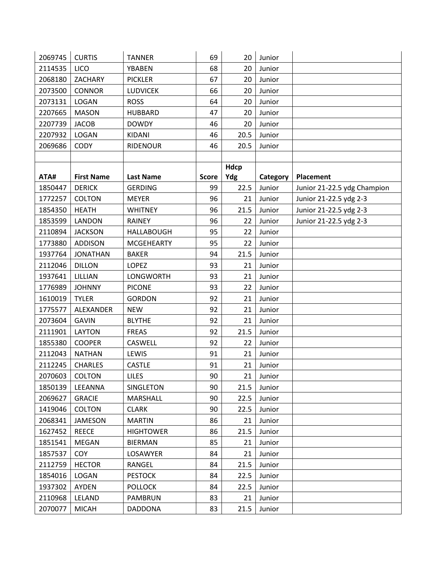| 2069745 | <b>CURTIS</b>     | <b>TANNER</b>     | 69           | 20   | Junior   |                             |
|---------|-------------------|-------------------|--------------|------|----------|-----------------------------|
| 2114535 | <b>LICO</b>       | <b>YBABEN</b>     | 68           | 20   | Junior   |                             |
| 2068180 | ZACHARY           | <b>PICKLER</b>    | 67           | 20   | Junior   |                             |
| 2073500 | <b>CONNOR</b>     | <b>LUDVICEK</b>   | 66           | 20   | Junior   |                             |
| 2073131 | LOGAN             | <b>ROSS</b>       | 64           | 20   | Junior   |                             |
| 2207665 | <b>MASON</b>      | <b>HUBBARD</b>    | 47           | 20   | Junior   |                             |
| 2207739 | <b>JACOB</b>      | <b>DOWDY</b>      | 46           | 20   | Junior   |                             |
| 2207932 | LOGAN             | KIDANI            | 46           | 20.5 | Junior   |                             |
| 2069686 | <b>CODY</b>       | <b>RIDENOUR</b>   | 46           | 20.5 | Junior   |                             |
|         |                   |                   |              |      |          |                             |
|         |                   |                   |              | Hdcp |          |                             |
| ATA#    | <b>First Name</b> | <b>Last Name</b>  | <b>Score</b> | Ydg  | Category | Placement                   |
| 1850447 | <b>DERICK</b>     | <b>GERDING</b>    | 99           | 22.5 | Junior   | Junior 21-22.5 ydg Champion |
| 1772257 | <b>COLTON</b>     | <b>MEYER</b>      | 96           | 21   | Junior   | Junior 21-22.5 ydg 2-3      |
| 1854350 | <b>HEATH</b>      | <b>WHITNEY</b>    | 96           | 21.5 | Junior   | Junior 21-22.5 ydg 2-3      |
| 1853599 | LANDON            | <b>RAINEY</b>     | 96           | 22   | Junior   | Junior 21-22.5 ydg 2-3      |
| 2110894 | <b>JACKSON</b>    | <b>HALLABOUGH</b> | 95           | 22   | Junior   |                             |
| 1773880 | <b>ADDISON</b>    | <b>MCGEHEARTY</b> | 95           | 22   | Junior   |                             |
| 1937764 | <b>JONATHAN</b>   | <b>BAKER</b>      | 94           | 21.5 | Junior   |                             |
| 2112046 | <b>DILLON</b>     | <b>LOPEZ</b>      | 93           | 21   | Junior   |                             |
| 1937641 | LILLIAN           | <b>LONGWORTH</b>  | 93           | 21   | Junior   |                             |
| 1776989 | <b>JOHNNY</b>     | <b>PICONE</b>     | 93           | 22   | Junior   |                             |
| 1610019 | <b>TYLER</b>      | <b>GORDON</b>     | 92           | 21   | Junior   |                             |
| 1775577 | ALEXANDER         | <b>NEW</b>        | 92           | 21   | Junior   |                             |
| 2073604 | <b>GAVIN</b>      | <b>BLYTHE</b>     | 92           | 21   | Junior   |                             |
| 2111901 | LAYTON            | <b>FREAS</b>      | 92           | 21.5 | Junior   |                             |
| 1855380 | <b>COOPER</b>     | CASWELL           | 92           | 22   | Junior   |                             |
| 2112043 | <b>NATHAN</b>     | LEWIS             | 91           | 21   | Junior   |                             |
| 2112245 | <b>CHARLES</b>    | <b>CASTLE</b>     | 91           | 21   | Junior   |                             |
| 2070603 | <b>COLTON</b>     | <b>LILES</b>      | 90           | 21   | Junior   |                             |
| 1850139 | LEEANNA           | SINGLETON         | 90           | 21.5 | Junior   |                             |
| 2069627 | <b>GRACIE</b>     | MARSHALL          | 90           | 22.5 | Junior   |                             |
| 1419046 | COLTON            | <b>CLARK</b>      | 90           | 22.5 | Junior   |                             |
| 2068341 | <b>JAMESON</b>    | <b>MARTIN</b>     | 86           | 21   | Junior   |                             |
| 1627452 | <b>REECE</b>      | <b>HIGHTOWER</b>  | 86           | 21.5 | Junior   |                             |
| 1851541 | <b>MEGAN</b>      | <b>BIERMAN</b>    | 85           | 21   | Junior   |                             |
| 1857537 | <b>COY</b>        | LOSAWYER          | 84           | 21   | Junior   |                             |
| 2112759 | <b>HECTOR</b>     | RANGEL            | 84           | 21.5 | Junior   |                             |
| 1854016 | LOGAN             | <b>PESTOCK</b>    | 84           | 22.5 | Junior   |                             |
| 1937302 | <b>AYDEN</b>      | <b>POLLOCK</b>    | 84           | 22.5 | Junior   |                             |
| 2110968 | LELAND            | <b>PAMBRUN</b>    | 83           | 21   | Junior   |                             |
| 2070077 | <b>MICAH</b>      | <b>DADDONA</b>    | 83           | 21.5 | Junior   |                             |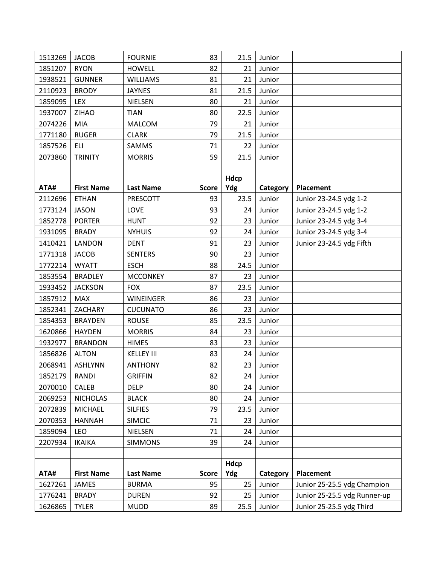| 1513269 | <b>JACOB</b>      | <b>FOURNIE</b>    | 83           | 21.5 | Junior   |                              |
|---------|-------------------|-------------------|--------------|------|----------|------------------------------|
| 1851207 | <b>RYON</b>       | <b>HOWELL</b>     | 82           | 21   | Junior   |                              |
| 1938521 | <b>GUNNER</b>     | <b>WILLIAMS</b>   | 81           | 21   | Junior   |                              |
| 2110923 | <b>BRODY</b>      | <b>JAYNES</b>     | 81           | 21.5 | Junior   |                              |
| 1859095 | LEX               | <b>NIELSEN</b>    | 80           | 21   | Junior   |                              |
| 1937007 | ZIHAO             | <b>TIAN</b>       | 80           | 22.5 | Junior   |                              |
| 2074226 | <b>MIA</b>        | <b>MALCOM</b>     | 79           | 21   | Junior   |                              |
| 1771180 | <b>RUGER</b>      | <b>CLARK</b>      | 79           | 21.5 | Junior   |                              |
| 1857526 | ELI               | SAMMS             | 71           | 22   | Junior   |                              |
| 2073860 | <b>TRINITY</b>    | <b>MORRIS</b>     | 59           | 21.5 | Junior   |                              |
|         |                   |                   |              |      |          |                              |
|         |                   |                   |              | Hdcp |          |                              |
| ATA#    | <b>First Name</b> | <b>Last Name</b>  | <b>Score</b> | Ydg  | Category | Placement                    |
| 2112696 | <b>ETHAN</b>      | PRESCOTT          | 93           | 23.5 | Junior   | Junior 23-24.5 ydg 1-2       |
| 1773124 | <b>JASON</b>      | LOVE              | 93           | 24   | Junior   | Junior 23-24.5 ydg 1-2       |
| 1852778 | <b>PORTER</b>     | <b>HUNT</b>       | 92           | 23   | Junior   | Junior 23-24.5 ydg 3-4       |
| 1931095 | <b>BRADY</b>      | <b>NYHUIS</b>     | 92           | 24   | Junior   | Junior 23-24.5 ydg 3-4       |
| 1410421 | LANDON            | <b>DENT</b>       | 91           | 23   | Junior   | Junior 23-24.5 ydg Fifth     |
| 1771318 | <b>JACOB</b>      | <b>SENTERS</b>    | 90           | 23   | Junior   |                              |
| 1772214 | <b>WYATT</b>      | <b>ESCH</b>       | 88           | 24.5 | Junior   |                              |
| 1853554 | <b>BRADLEY</b>    | <b>MCCONKEY</b>   | 87           | 23   | Junior   |                              |
| 1933452 | <b>JACKSON</b>    | <b>FOX</b>        | 87           | 23.5 | Junior   |                              |
| 1857912 | <b>MAX</b>        | <b>WINEINGER</b>  | 86           | 23   | Junior   |                              |
| 1852341 | ZACHARY           | <b>CUCUNATO</b>   | 86           | 23   | Junior   |                              |
| 1854353 | <b>BRAYDEN</b>    | <b>ROUSE</b>      | 85           | 23.5 | Junior   |                              |
| 1620866 | <b>HAYDEN</b>     | <b>MORRIS</b>     | 84           | 23   | Junior   |                              |
| 1932977 | <b>BRANDON</b>    | <b>HIMES</b>      | 83           | 23   | Junior   |                              |
| 1856826 | <b>ALTON</b>      | <b>KELLEY III</b> | 83           | 24   | Junior   |                              |
| 2068941 | <b>ASHLYNN</b>    | <b>ANTHONY</b>    | 82           | 23   | Junior   |                              |
| 1852179 | <b>RANDI</b>      | <b>GRIFFIN</b>    | 82           | 24   | Junior   |                              |
| 2070010 | CALEB             | <b>DELP</b>       | 80           | 24   | Junior   |                              |
| 2069253 | <b>NICHOLAS</b>   | <b>BLACK</b>      | 80           | 24   | Junior   |                              |
| 2072839 | <b>MICHAEL</b>    | <b>SILFIES</b>    | 79           | 23.5 | Junior   |                              |
| 2070353 | <b>HANNAH</b>     | <b>SIMCIC</b>     | 71           | 23   | Junior   |                              |
| 1859094 | <b>LEO</b>        | <b>NIELSEN</b>    | 71           | 24   | Junior   |                              |
| 2207934 | <b>IKAIKA</b>     | <b>SIMMONS</b>    | 39           | 24   | Junior   |                              |
|         |                   |                   |              |      |          |                              |
|         |                   |                   |              | Hdcp |          |                              |
| ATA#    | <b>First Name</b> | <b>Last Name</b>  | <b>Score</b> | Ydg  | Category | <b>Placement</b>             |
| 1627261 | JAMES             | <b>BURMA</b>      | 95           | 25   | Junior   | Junior 25-25.5 ydg Champion  |
| 1776241 | <b>BRADY</b>      | <b>DUREN</b>      | 92           | 25   | Junior   | Junior 25-25.5 ydg Runner-up |
| 1626865 | <b>TYLER</b>      | <b>MUDD</b>       | 89           | 25.5 | Junior   | Junior 25-25.5 ydg Third     |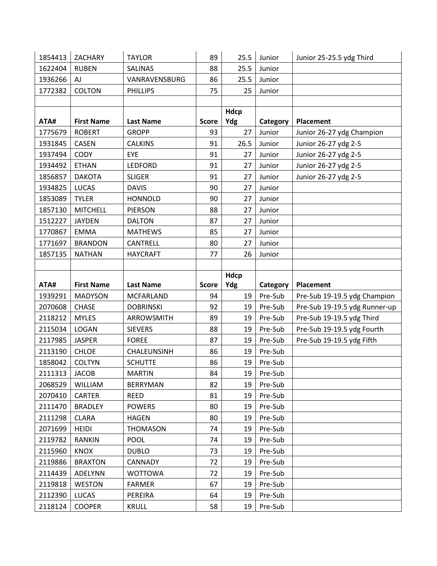| 1854413 | ZACHARY           | <b>TAYLOR</b>    | 89           | 25.5        | Junior   | Junior 25-25.5 ydg Third      |
|---------|-------------------|------------------|--------------|-------------|----------|-------------------------------|
| 1622404 | <b>RUBEN</b>      | <b>SALINAS</b>   | 88           | 25.5        | Junior   |                               |
| 1936266 | AJ                | VANRAVENSBURG    | 86           | 25.5        | Junior   |                               |
| 1772382 | <b>COLTON</b>     | <b>PHILLIPS</b>  | 75           | 25          | Junior   |                               |
|         |                   |                  |              |             |          |                               |
|         |                   |                  |              | <b>Hdcp</b> |          |                               |
| ATA#    | <b>First Name</b> | <b>Last Name</b> | <b>Score</b> | Ydg         | Category | <b>Placement</b>              |
| 1775679 | <b>ROBERT</b>     | <b>GROPP</b>     | 93           | 27          | Junior   | Junior 26-27 ydg Champion     |
| 1931845 | <b>CASEN</b>      | <b>CALKINS</b>   | 91           | 26.5        | Junior   | Junior 26-27 ydg 2-5          |
| 1937494 | <b>CODY</b>       | EYE              | 91           | 27          | Junior   | Junior 26-27 ydg 2-5          |
| 1934492 | <b>ETHAN</b>      | <b>LEDFORD</b>   | 91           | 27          | Junior   | Junior 26-27 ydg 2-5          |
| 1856857 | <b>DAKOTA</b>     | <b>SLIGER</b>    | 91           | 27          | Junior   | Junior 26-27 ydg 2-5          |
| 1934825 | <b>LUCAS</b>      | <b>DAVIS</b>     | 90           | 27          | Junior   |                               |
| 1853089 | <b>TYLER</b>      | <b>HONNOLD</b>   | 90           | 27          | Junior   |                               |
| 1857130 | <b>MITCHELL</b>   | PIERSON          | 88           | 27          | Junior   |                               |
| 1512227 | <b>JAYDEN</b>     | <b>DALTON</b>    | 87           | 27          | Junior   |                               |
| 1770867 | <b>EMMA</b>       | <b>MATHEWS</b>   | 85           | 27          | Junior   |                               |
| 1771697 | <b>BRANDON</b>    | <b>CANTRELL</b>  | 80           | 27          | Junior   |                               |
| 1857135 | <b>NATHAN</b>     | <b>HAYCRAFT</b>  | 77           | 26          | Junior   |                               |
|         |                   |                  |              |             |          |                               |
|         |                   |                  |              | <b>Hdcp</b> |          |                               |
|         |                   |                  |              |             |          |                               |
| ATA#    | <b>First Name</b> | <b>Last Name</b> | <b>Score</b> | Ydg         | Category | Placement                     |
| 1939291 | <b>MADYSON</b>    | <b>MCFARLAND</b> | 94           | 19          | Pre-Sub  | Pre-Sub 19-19.5 ydg Champion  |
| 2070608 | <b>CHASE</b>      | <b>DOBRINSKI</b> | 92           | 19          | Pre-Sub  | Pre-Sub 19-19.5 ydg Runner-up |
| 2118212 | <b>MYLES</b>      | ARROWSMITH       | 89           | 19          | Pre-Sub  | Pre-Sub 19-19.5 ydg Third     |
| 2115034 | LOGAN             | <b>SIEVERS</b>   | 88           | 19          | Pre-Sub  | Pre-Sub 19-19.5 ydg Fourth    |
| 2117985 | <b>JASPER</b>     | <b>FOREE</b>     | 87           | 19          | Pre-Sub  | Pre-Sub 19-19.5 ydg Fifth     |
| 2113190 | <b>CHLOE</b>      | CHALEUNSINH      | 86           | 19          | Pre-Sub  |                               |
| 1858042 | <b>COLTYN</b>     | <b>SCHUTTE</b>   | 86           | 19          | Pre-Sub  |                               |
| 2111313 | <b>JACOB</b>      | <b>MARTIN</b>    | 84           | 19          | Pre-Sub  |                               |
| 2068529 | <b>WILLIAM</b>    | <b>BERRYMAN</b>  | 82           | 19          | Pre-Sub  |                               |
| 2070410 | <b>CARTER</b>     | <b>REED</b>      | 81           | 19          | Pre-Sub  |                               |
| 2111470 | <b>BRADLEY</b>    | <b>POWERS</b>    | 80           | 19          | Pre-Sub  |                               |
| 2111298 | <b>CLARA</b>      | <b>HAGEN</b>     | 80           | 19          | Pre-Sub  |                               |
| 2071699 | <b>HEIDI</b>      | <b>THOMASON</b>  | 74           | 19          | Pre-Sub  |                               |
| 2119782 | <b>RANKIN</b>     | <b>POOL</b>      | 74           | 19          | Pre-Sub  |                               |
| 2115960 | <b>KNOX</b>       | <b>DUBLO</b>     | 73           | 19          | Pre-Sub  |                               |
| 2119886 | <b>BRAXTON</b>    | CANNADY          | 72           | 19          | Pre-Sub  |                               |
| 2114439 | ADELYNN           | <b>WOTTOWA</b>   | 72           | 19          | Pre-Sub  |                               |
| 2119818 | <b>WESTON</b>     | <b>FARMER</b>    | 67           | 19          | Pre-Sub  |                               |
| 2112390 | <b>LUCAS</b>      | PEREIRA          | 64           | 19          | Pre-Sub  |                               |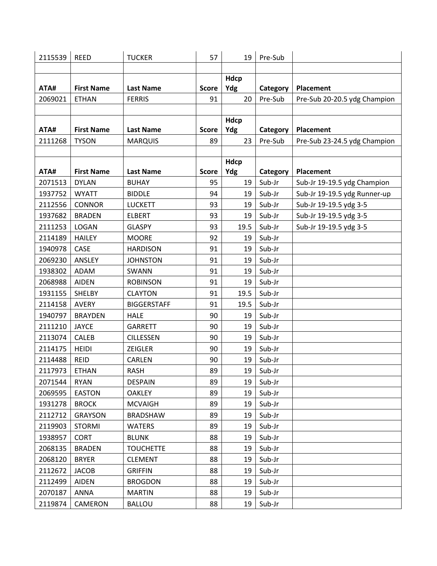| 2115539         | <b>REED</b>       | <b>TUCKER</b>      | 57                 | 19        | Pre-Sub             |                              |
|-----------------|-------------------|--------------------|--------------------|-----------|---------------------|------------------------------|
|                 |                   |                    |                    |           |                     |                              |
|                 |                   |                    |                    | Hdcp      |                     |                              |
| ATA#            | <b>First Name</b> | <b>Last Name</b>   | <b>Score</b>       | Ydg       | Category            | Placement                    |
| 2069021         | <b>ETHAN</b>      | <b>FERRIS</b>      | 91                 | 20        | Pre-Sub             | Pre-Sub 20-20.5 ydg Champion |
|                 |                   |                    |                    |           |                     |                              |
|                 | <b>First Name</b> | <b>Last Name</b>   |                    | Hdcp      |                     |                              |
| ATA#<br>2111268 | <b>TYSON</b>      | <b>MARQUIS</b>     | <b>Score</b><br>89 | Ydg<br>23 | Category<br>Pre-Sub | Placement                    |
|                 |                   |                    |                    |           |                     | Pre-Sub 23-24.5 ydg Champion |
|                 |                   |                    |                    | Hdcp      |                     |                              |
| ATA#            | <b>First Name</b> | <b>Last Name</b>   | <b>Score</b>       | Ydg       | Category            | Placement                    |
| 2071513         | <b>DYLAN</b>      | <b>BUHAY</b>       | 95                 | 19        | Sub-Jr              | Sub-Jr 19-19.5 ydg Champion  |
| 1937752         | <b>WYATT</b>      | <b>BIDDLE</b>      | 94                 | 19        | Sub-Jr              | Sub-Jr 19-19.5 ydg Runner-up |
| 2112556         | <b>CONNOR</b>     | <b>LUCKETT</b>     | 93                 | 19        | Sub-Jr              | Sub-Jr 19-19.5 ydg 3-5       |
| 1937682         | <b>BRADEN</b>     | <b>ELBERT</b>      | 93                 | 19        | Sub-Jr              | Sub-Jr 19-19.5 ydg 3-5       |
| 2111253         | LOGAN             | <b>GLASPY</b>      | 93                 | 19.5      | Sub-Jr              | Sub-Jr 19-19.5 ydg 3-5       |
| 2114189         | <b>HAILEY</b>     | <b>MOORE</b>       | 92                 | 19        | Sub-Jr              |                              |
| 1940978         | CASE              | <b>HARDISON</b>    | 91                 | 19        | Sub-Jr              |                              |
| 2069230         | ANSLEY            | <b>JOHNSTON</b>    | 91                 | 19        | Sub-Jr              |                              |
| 1938302         | ADAM              | SWANN              | 91                 | 19        | Sub-Jr              |                              |
| 2068988         | <b>AIDEN</b>      | <b>ROBINSON</b>    | 91                 | 19        | Sub-Jr              |                              |
| 1931155         | SHELBY            | <b>CLAYTON</b>     | 91                 | 19.5      | Sub-Jr              |                              |
| 2114158         | <b>AVERY</b>      | <b>BIGGERSTAFF</b> | 91                 | 19.5      | Sub-Jr              |                              |
| 1940797         | <b>BRAYDEN</b>    | <b>HALE</b>        | 90                 | 19        | Sub-Jr              |                              |
| 2111210         | <b>JAYCE</b>      | <b>GARRETT</b>     | 90                 | 19        | Sub-Jr              |                              |
| 2113074         | CALEB             | <b>CILLESSEN</b>   | 90                 | 19        | Sub-Jr              |                              |
| 2114175         | <b>HEIDI</b>      | <b>ZEIGLER</b>     | 90                 | 19        | Sub-Jr              |                              |
| 2114488         | <b>REID</b>       | CARLEN             | 90                 | 19        | Sub-Jr              |                              |
| 2117973         | ETHAN             | <b>RASH</b>        | 89                 | 19        | Sub-Jr              |                              |
| 2071544         | <b>RYAN</b>       | <b>DESPAIN</b>     | 89                 | 19        | Sub-Jr              |                              |
| 2069595         | <b>EASTON</b>     | <b>OAKLEY</b>      | 89                 | 19        | Sub-Jr              |                              |
| 1931278         | <b>BROCK</b>      | <b>MCVAIGH</b>     | 89                 | 19        | Sub-Jr              |                              |
| 2112712         | <b>GRAYSON</b>    | <b>BRADSHAW</b>    | 89                 | 19        | Sub-Jr              |                              |
| 2119903         | <b>STORMI</b>     | <b>WATERS</b>      | 89                 | 19        | Sub-Jr              |                              |
| 1938957         | <b>CORT</b>       | <b>BLUNK</b>       | 88                 | 19        | Sub-Jr              |                              |
| 2068135         | <b>BRADEN</b>     | <b>TOUCHETTE</b>   | 88                 | 19        | Sub-Jr              |                              |
| 2068120         | <b>BRYER</b>      | <b>CLEMENT</b>     | 88                 | 19        | Sub-Jr              |                              |
| 2112672         | <b>JACOB</b>      | <b>GRIFFIN</b>     | 88                 | 19        | Sub-Jr              |                              |
| 2112499         | AIDEN             | <b>BROGDON</b>     | 88                 | 19        | Sub-Jr              |                              |
| 2070187         | ANNA              | <b>MARTIN</b>      | 88                 | 19        | Sub-Jr              |                              |
| 2119874         | CAMERON           | <b>BALLOU</b>      | 88                 | 19        | Sub-Jr              |                              |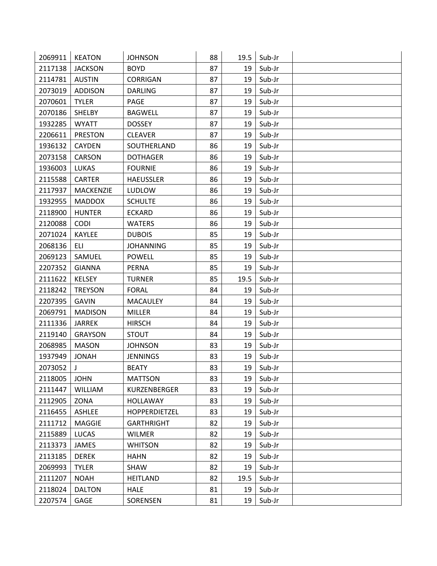| 2069911 | <b>KEATON</b>    | <b>JOHNSON</b>    | 88 | 19.5 | Sub-Jr |  |
|---------|------------------|-------------------|----|------|--------|--|
| 2117138 | <b>JACKSON</b>   | <b>BOYD</b>       | 87 | 19   | Sub-Jr |  |
| 2114781 | <b>AUSTIN</b>    | CORRIGAN          | 87 | 19   | Sub-Jr |  |
| 2073019 | <b>ADDISON</b>   | <b>DARLING</b>    | 87 | 19   | Sub-Jr |  |
| 2070601 | <b>TYLER</b>     | PAGE              | 87 | 19   | Sub-Jr |  |
| 2070186 | <b>SHELBY</b>    | <b>BAGWELL</b>    | 87 | 19   | Sub-Jr |  |
| 1932285 | <b>WYATT</b>     | <b>DOSSEY</b>     | 87 | 19   | Sub-Jr |  |
| 2206611 | <b>PRESTON</b>   | <b>CLEAVER</b>    | 87 | 19   | Sub-Jr |  |
| 1936132 | <b>CAYDEN</b>    | SOUTHERLAND       | 86 | 19   | Sub-Jr |  |
| 2073158 | CARSON           | <b>DOTHAGER</b>   | 86 | 19   | Sub-Jr |  |
| 1936003 | LUKAS            | <b>FOURNIE</b>    | 86 | 19   | Sub-Jr |  |
| 2115588 | <b>CARTER</b>    | <b>HAEUSSLER</b>  | 86 | 19   | Sub-Jr |  |
| 2117937 | <b>MACKENZIE</b> | <b>LUDLOW</b>     | 86 | 19   | Sub-Jr |  |
| 1932955 | <b>MADDOX</b>    | <b>SCHULTE</b>    | 86 | 19   | Sub-Jr |  |
| 2118900 | <b>HUNTER</b>    | <b>ECKARD</b>     | 86 | 19   | Sub-Jr |  |
| 2120088 | <b>CODI</b>      | <b>WATERS</b>     | 86 | 19   | Sub-Jr |  |
| 2071024 | KAYLEE           | <b>DUBOIS</b>     | 85 | 19   | Sub-Jr |  |
| 2068136 | ELI.             | <b>JOHANNING</b>  | 85 | 19   | Sub-Jr |  |
| 2069123 | SAMUEL           | <b>POWELL</b>     | 85 | 19   | Sub-Jr |  |
| 2207352 | <b>GIANNA</b>    | <b>PERNA</b>      | 85 | 19   | Sub-Jr |  |
| 2111622 | <b>KELSEY</b>    | <b>TURNER</b>     | 85 | 19.5 | Sub-Jr |  |
| 2118242 | <b>TREYSON</b>   | <b>FORAL</b>      | 84 | 19   | Sub-Jr |  |
| 2207395 | <b>GAVIN</b>     | MACAULEY          | 84 | 19   | Sub-Jr |  |
| 2069791 | <b>MADISON</b>   | <b>MILLER</b>     | 84 | 19   | Sub-Jr |  |
| 2111336 | <b>JARREK</b>    | <b>HIRSCH</b>     | 84 | 19   | Sub-Jr |  |
| 2119140 | <b>GRAYSON</b>   | <b>STOUT</b>      | 84 | 19   | Sub-Jr |  |
| 2068985 | <b>MASON</b>     | <b>JOHNSON</b>    | 83 | 19   | Sub-Jr |  |
| 1937949 | <b>JONAH</b>     | <b>JENNINGS</b>   | 83 | 19   | Sub-Jr |  |
| 2073052 | $\mathbf{J}$     | <b>BEATY</b>      | 83 | 19   | Sub-Jr |  |
| 2118005 | <b>JOHN</b>      | <b>MATTSON</b>    | 83 | 19   | Sub-Jr |  |
| 2111447 | <b>WILLIAM</b>   | KURZENBERGER      | 83 | 19   | Sub-Jr |  |
| 2112905 | ZONA             | <b>HOLLAWAY</b>   | 83 | 19   | Sub-Jr |  |
| 2116455 | ASHLEE           | HOPPERDIETZEL     | 83 | 19   | Sub-Jr |  |
| 2111712 | <b>MAGGIE</b>    | <b>GARTHRIGHT</b> | 82 | 19   | Sub-Jr |  |
| 2115889 | LUCAS            | <b>WILMER</b>     | 82 | 19   | Sub-Jr |  |
| 2113373 | JAMES            | <b>WHITSON</b>    | 82 | 19   | Sub-Jr |  |
| 2113185 | <b>DEREK</b>     | <b>HAHN</b>       | 82 | 19   | Sub-Jr |  |
| 2069993 | <b>TYLER</b>     | SHAW              | 82 | 19   | Sub-Jr |  |
| 2111207 | <b>NOAH</b>      | <b>HEITLAND</b>   | 82 | 19.5 | Sub-Jr |  |
| 2118024 | <b>DALTON</b>    | <b>HALE</b>       | 81 | 19   | Sub-Jr |  |
| 2207574 | GAGE             | SORENSEN          | 81 | 19   | Sub-Jr |  |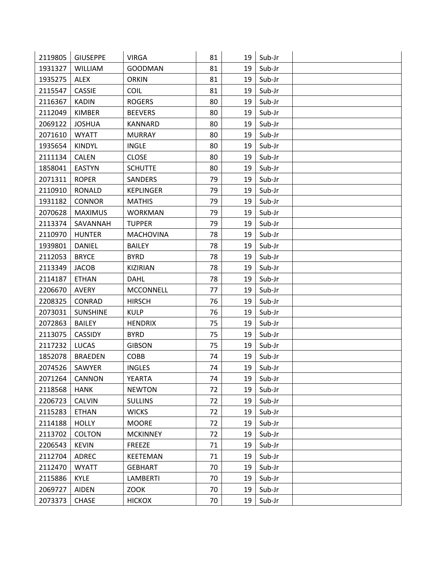| 2119805 | <b>GIUSEPPE</b> | <b>VIRGA</b>     | 81 | 19 | Sub-Jr |  |
|---------|-----------------|------------------|----|----|--------|--|
| 1931327 | <b>WILLIAM</b>  | <b>GOODMAN</b>   | 81 | 19 | Sub-Jr |  |
| 1935275 | <b>ALEX</b>     | <b>ORKIN</b>     | 81 | 19 | Sub-Jr |  |
| 2115547 | <b>CASSIE</b>   | <b>COIL</b>      | 81 | 19 | Sub-Jr |  |
| 2116367 | <b>KADIN</b>    | <b>ROGERS</b>    | 80 | 19 | Sub-Jr |  |
| 2112049 | <b>KIMBER</b>   | <b>BEEVERS</b>   | 80 | 19 | Sub-Jr |  |
| 2069122 | <b>JOSHUA</b>   | KANNARD          | 80 | 19 | Sub-Jr |  |
| 2071610 | <b>WYATT</b>    | <b>MURRAY</b>    | 80 | 19 | Sub-Jr |  |
| 1935654 | <b>KINDYL</b>   | <b>INGLE</b>     | 80 | 19 | Sub-Jr |  |
| 2111134 | <b>CALEN</b>    | <b>CLOSE</b>     | 80 | 19 | Sub-Jr |  |
| 1858041 | <b>EASTYN</b>   | <b>SCHUTTE</b>   | 80 | 19 | Sub-Jr |  |
| 2071311 | <b>ROPER</b>    | <b>SANDERS</b>   | 79 | 19 | Sub-Jr |  |
| 2110910 | <b>RONALD</b>   | <b>KEPLINGER</b> | 79 | 19 | Sub-Jr |  |
| 1931182 | <b>CONNOR</b>   | <b>MATHIS</b>    | 79 | 19 | Sub-Jr |  |
| 2070628 | <b>MAXIMUS</b>  | <b>WORKMAN</b>   | 79 | 19 | Sub-Jr |  |
| 2113374 | SAVANNAH        | <b>TUPPER</b>    | 79 | 19 | Sub-Jr |  |
| 2110970 | <b>HUNTER</b>   | <b>MACHOVINA</b> | 78 | 19 | Sub-Jr |  |
| 1939801 | DANIEL          | <b>BAILEY</b>    | 78 | 19 | Sub-Jr |  |
| 2112053 | <b>BRYCE</b>    | <b>BYRD</b>      | 78 | 19 | Sub-Jr |  |
| 2113349 | <b>JACOB</b>    | <b>KIZIRIAN</b>  | 78 | 19 | Sub-Jr |  |
| 2114187 | <b>ETHAN</b>    | <b>DAHL</b>      | 78 | 19 | Sub-Jr |  |
| 2206670 | <b>AVERY</b>    | <b>MCCONNELL</b> | 77 | 19 | Sub-Jr |  |
| 2208325 | CONRAD          | <b>HIRSCH</b>    | 76 | 19 | Sub-Jr |  |
| 2073031 | <b>SUNSHINE</b> | <b>KULP</b>      | 76 | 19 | Sub-Jr |  |
| 2072863 | <b>BAILEY</b>   | <b>HENDRIX</b>   | 75 | 19 | Sub-Jr |  |
| 2113075 | <b>CASSIDY</b>  | <b>BYRD</b>      | 75 | 19 | Sub-Jr |  |
| 2117232 | <b>LUCAS</b>    | <b>GIBSON</b>    | 75 | 19 | Sub-Jr |  |
| 1852078 | <b>BRAEDEN</b>  | COBB             | 74 | 19 | Sub-Jr |  |
| 2074526 | SAWYER          | <b>INGLES</b>    | 74 | 19 | Sub-Jr |  |
| 2071264 | CANNON          | <b>YEARTA</b>    | 74 | 19 | Sub-Jr |  |
| 2118568 | <b>HANK</b>     | <b>NEWTON</b>    | 72 | 19 | Sub-Jr |  |
| 2206723 | <b>CALVIN</b>   | <b>SULLINS</b>   | 72 | 19 | Sub-Jr |  |
| 2115283 | <b>ETHAN</b>    | <b>WICKS</b>     | 72 | 19 | Sub-Jr |  |
| 2114188 | <b>HOLLY</b>    | <b>MOORE</b>     | 72 | 19 | Sub-Jr |  |
| 2113702 | COLTON          | <b>MCKINNEY</b>  | 72 | 19 | Sub-Jr |  |
| 2206543 | <b>KEVIN</b>    | FREEZE           | 71 | 19 | Sub-Jr |  |
| 2112704 | ADREC           | KEETEMAN         | 71 | 19 | Sub-Jr |  |
| 2112470 | <b>WYATT</b>    | <b>GEBHART</b>   | 70 | 19 | Sub-Jr |  |
| 2115886 | <b>KYLE</b>     | <b>LAMBERTI</b>  | 70 | 19 | Sub-Jr |  |
| 2069727 | <b>AIDEN</b>    | ZOOK             | 70 | 19 | Sub-Jr |  |
| 2073373 | <b>CHASE</b>    | <b>HICKOX</b>    | 70 | 19 | Sub-Jr |  |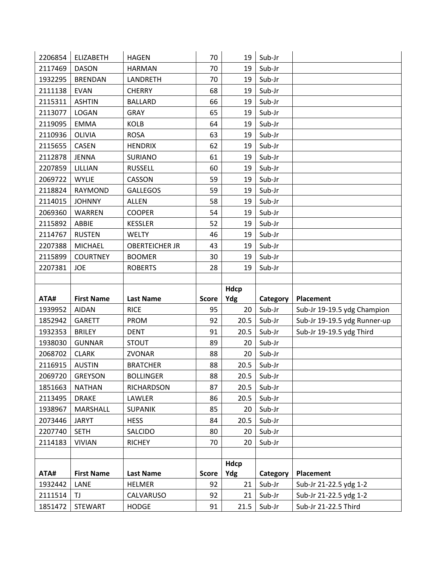| 2206854            | <b>ELIZABETH</b>     | <b>HAGEN</b>              | 70           | 19         | Sub-Jr           |                                                |
|--------------------|----------------------|---------------------------|--------------|------------|------------------|------------------------------------------------|
| 2117469            | <b>DASON</b>         | <b>HARMAN</b>             | 70           | 19         | Sub-Jr           |                                                |
| 1932295            | <b>BRENDAN</b>       | LANDRETH                  | 70           | 19         | Sub-Jr           |                                                |
| 2111138            | <b>EVAN</b>          | <b>CHERRY</b>             | 68           | 19         | Sub-Jr           |                                                |
| 2115311            | <b>ASHTIN</b>        | <b>BALLARD</b>            | 66           | 19         | Sub-Jr           |                                                |
| 2113077            | LOGAN                | <b>GRAY</b>               | 65           | 19         | Sub-Jr           |                                                |
| 2119095            | <b>EMMA</b>          | <b>KOLB</b>               | 64           | 19         | Sub-Jr           |                                                |
| 2110936            | OLIVIA               | <b>ROSA</b>               | 63           | 19         | Sub-Jr           |                                                |
| 2115655            | <b>CASEN</b>         | <b>HENDRIX</b>            | 62           | 19         | Sub-Jr           |                                                |
| 2112878            | <b>JENNA</b>         | <b>SURIANO</b>            | 61           | 19         | Sub-Jr           |                                                |
| 2207859            | LILLIAN              | <b>RUSSELL</b>            | 60           | 19         | Sub-Jr           |                                                |
| 2069722            | <b>WYLIE</b>         | CASSON                    | 59           | 19         | Sub-Jr           |                                                |
| 2118824            | <b>RAYMOND</b>       | <b>GALLEGOS</b>           | 59           | 19         | Sub-Jr           |                                                |
| 2114015            | <b>JOHNNY</b>        | <b>ALLEN</b>              | 58           | 19         | Sub-Jr           |                                                |
| 2069360            | WARREN               | <b>COOPER</b>             | 54           | 19         | Sub-Jr           |                                                |
| 2115892            | ABBIE                | <b>KESSLER</b>            | 52           | 19         | Sub-Jr           |                                                |
| 2114767            | <b>RUSTEN</b>        | <b>WELTY</b>              | 46           | 19         | Sub-Jr           |                                                |
| 2207388            | MICHAEL              | <b>OBERTEICHER JR</b>     | 43           | 19         | Sub-Jr           |                                                |
| 2115899            | <b>COURTNEY</b>      | <b>BOOMER</b>             | 30           | 19         | Sub-Jr           |                                                |
| 2207381            | JOE                  | <b>ROBERTS</b>            | 28           | 19         | Sub-Jr           |                                                |
|                    |                      |                           |              |            |                  |                                                |
|                    |                      |                           |              |            |                  |                                                |
|                    |                      |                           |              | Hdcp       |                  |                                                |
| ATA#               | <b>First Name</b>    | <b>Last Name</b>          | <b>Score</b> | Ydg        | Category         | Placement                                      |
| 1939952            | <b>AIDAN</b>         | <b>RICE</b>               | 95           | 20         | Sub-Jr           | Sub-Jr 19-19.5 ydg Champion                    |
| 1852942            | <b>GARETT</b>        | <b>PROM</b>               | 92           | 20.5       | Sub-Jr           | Sub-Jr 19-19.5 ydg Runner-up                   |
| 1932353            | <b>BRILEY</b>        | <b>DENT</b>               | 91           | 20.5       | Sub-Jr           | Sub-Jr 19-19.5 ydg Third                       |
| 1938030            | <b>GUNNAR</b>        | <b>STOUT</b>              | 89           | 20         | Sub-Jr           |                                                |
| 2068702            | <b>CLARK</b>         | ZVONAR                    | 88           | 20         | Sub-Jr           |                                                |
| 2116915            | <b>AUSTIN</b>        | <b>BRATCHER</b>           | 88           | 20.5       | Sub-Jr           |                                                |
| 2069720            | <b>GREYSON</b>       | <b>BOLLINGER</b>          | 88           | 20.5       | Sub-Jr           |                                                |
| 1851663            | <b>NATHAN</b>        | RICHARDSON                | 87           | 20.5       | Sub-Jr           |                                                |
| 2113495            | <b>DRAKE</b>         | LAWLER                    | 86           | 20.5       | Sub-Jr           |                                                |
| 1938967            | MARSHALL             | <b>SUPANIK</b>            | 85           | 20         | Sub-Jr           |                                                |
| 2073446            | <b>JARYT</b>         | <b>HESS</b>               | 84           | 20.5       | Sub-Jr           |                                                |
| 2207740            | <b>SETH</b>          | SALCIDO                   | 80           | 20         | Sub-Jr           |                                                |
| 2114183            | <b>VIVIAN</b>        | <b>RICHEY</b>             | 70           | 20         | Sub-Jr           |                                                |
|                    |                      |                           |              |            |                  |                                                |
|                    |                      |                           |              | Hdcp       |                  |                                                |
| ATA#               | <b>First Name</b>    | <b>Last Name</b>          | <b>Score</b> | Ydg        | Category         | Placement                                      |
| 1932442            | LANE                 | <b>HELMER</b>             | 92           | 21         | Sub-Jr           | Sub-Jr 21-22.5 ydg 1-2                         |
| 2111514<br>1851472 | TJ<br><b>STEWART</b> | CALVARUSO<br><b>HODGE</b> | 92<br>91     | 21<br>21.5 | Sub-Jr<br>Sub-Jr | Sub-Jr 21-22.5 ydg 1-2<br>Sub-Jr 21-22.5 Third |